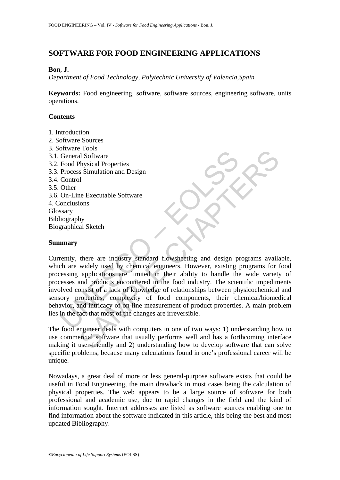# **SOFTWARE FOR FOOD ENGINEERING APPLICATIONS**

#### **Bon**, **J.**

*Department of Food Technology, Polytechnic University of Valencia,Spain* 

**Keywords:** Food engineering, software, software sources, engineering software, units operations.

### **Contents**

- 1. Introduction
- 2. Software Sources
- 3. Software Tools
- 3.1. General Software
- 3.2. Food Physical Properties
- 3.3. Process Simulation and Design
- 3.4. Control
- 3.5. Other
- 3.6. On-Line Executable Software
- 4. Conclusions
- Glossary
- Bibliography Biographical Sketch

#### **Summary**

From the Control<br>
Ceneral Software<br>
Food Physical Properties<br>
Process Simulation and Design<br>
Control<br>
Other<br>
Other<br>
Other<br>
Other<br>
Other<br>
Other<br>
Other<br>
onclusions<br>
ssary<br>
liography<br>
praphical Sketch<br> **mary**<br>
praphical Sketc From the are industry standard flowsheeting and design programs available Software<br>ons<br>s Simulation and Design<br>phications of the Executable Software<br>in a B. Setch<br>phications are limited in their ability to handle the wide Currently, there are industry standard flowsheeting and design programs available, which are widely used by chemical engineers. However, existing programs for food processing applications are limited in their ability to handle the wide variety of processes and products encountered in the food industry. The scientific impediments involved consist of a lack of knowledge of relationships between physicochemical and sensory properties, complexity of food components, their chemical/biomedical behavior, and intricacy of on-line measurement of product properties. A main problem lies in the fact that most of the changes are irreversible.

The food engineer deals with computers in one of two ways: 1) understanding how to use commercial software that usually performs well and has a forthcoming interface making it user-friendly and 2) understanding how to develop software that can solve specific problems, because many calculations found in one's professional career will be unique.

Nowadays, a great deal of more or less general-purpose software exists that could be useful in Food Engineering, the main drawback in most cases being the calculation of physical properties. The web appears to be a large source of software for both professional and academic use, due to rapid changes in the field and the kind of information sought. Internet addresses are listed as software sources enabling one to find information about the software indicated in this article, this being the best and most updated Bibliography.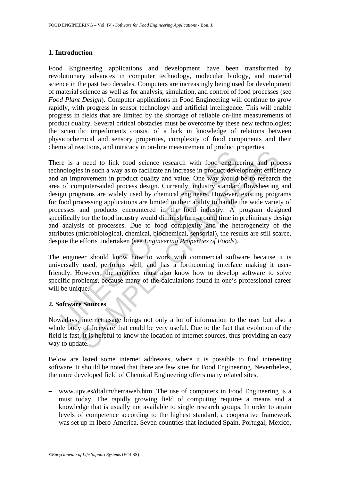# **1. Introduction**

Food Engineering applications and development have been transformed by revolutionary advances in computer technology, molecular biology, and material science in the past two decades. Computers are increasingly being used for development of material science as well as for analysis, simulation, and control of food processes (see *Food Plant Design*). Computer applications in Food Engineering will continue to grow rapidly, with progress in sensor technology and artificial intelligence. This will enable progress in fields that are limited by the shortage of reliable on-line measurements of product quality. Several critical obstacles must be overcome by these new technologies; the scientific impediments consist of a lack in knowledge of relations between physicochemical and sensory properties, complexity of food components and their chemical reactions, and intricacy in on-line measurement of product properties.

re is a need to link food science research with food engine<br>nologies in such a way as to facilitate an increase in product deve<br>an improvement in product quality and value. One way would<br>or f computer-aided process design. In the divided product and increase in product development and product<br>sines in used to find the increase in product development efficies<br>or overent in product quality and value. One way would be to research<br>mputer-aided p There is a need to link food science research with food engineering and process technologies in such a way as to facilitate an increase in product development efficiency and an improvement in product quality and value. One way would be to research the area of computer-aided process design. Currently, industry standard flowsheeting and design programs are widely used by chemical engineers. However, existing programs for food processing applications are limited in their ability to handle the wide variety of processes and products encountered in the food industry. A program designed specifically for the food industry would diminish turn-around time in preliminary design and analysis of processes. Due to food complexity and the heterogeneity of the attributes (microbiological, chemical, biochemical, sensorial), the results are still scarce, despite the efforts undertaken (see *Engineering Properties of Foods*).

The engineer should know how to work with commercial software because it is universally used, performs well, and has a forthcoming interface making it userfriendly. However, the engineer must also know how to develop software to solve specific problems, because many of the calculations found in one's professional career will be unique.

### **2. Software Sources**

Nowadays, internet usage brings not only a lot of information to the user but also a whole body of freeware that could be very useful. Due to the fact that evolution of the field is fast, it is helpful to know the location of internet sources, thus providing an easy way to update.

Below are listed some internet addresses, where it is possible to find interesting software. It should be noted that there are few sites for Food Engineering. Nevertheless, the more developed field of Chemical Engineering offers many related sites.

− www.upv.es/dtalim/herraweb.htm. The use of computers in Food Engineering is a must today. The rapidly growing field of computing requires a means and a knowledge that is usually not available to single research groups. In order to attain levels of competence according to the highest standard, a cooperative framework was set up in Ibero-America. Seven countries that included Spain, Portugal, Mexico,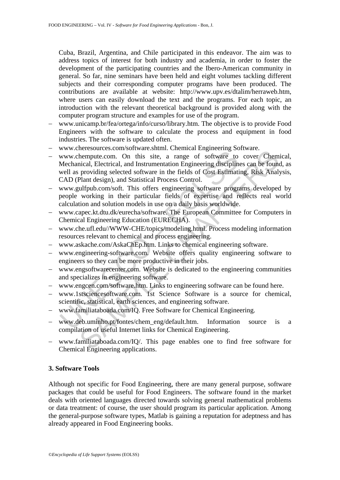Cuba, Brazil, Argentina, and Chile participated in this endeavor. The aim was to address topics of interest for both industry and academia, in order to foster the development of the participating countries and the Ibero-American community in general. So far, nine seminars have been held and eight volumes tackling different subjects and their corresponding computer programs have been produced. The contributions are available at website: http://www.upv.es/dtalim/herraweb.htm, where users can easily download the text and the programs. For each topic, an introduction with the relevant theoretical background is provided along with the computer program structure and examples for use of the program.

- − www.unicamp.br/fea/ortega/info/curso/library.htm. The objective is to provide Food Engineers with the software to calculate the process and equipment in food industries. The software is updated often.
- www.cheresources.com/software.shtml. Chemical Engineering Software.
- www.chempute.com. On this site, a range of software to<br>Mechanical, Electrical, and Instrumentation Engineering disciplin<br>well as providing selected software in the fields of Cost Estimati<br>CAD (Plant design), and Statistica Economission and the members of software comes of the members of the members of the members of the members of the members of the members of the members of the members of the members of the ulfplus. Change of software is th − www.chempute.com. On this site, a range of software to cover Chemical, Mechanical, Electrical, and Instrumentation Engineering disciplines can be found, as well as providing selected software in the fields of Cost Estimating, Risk Analysis, CAD (Plant design), and Statistical Process Control.
- − www.gulfpub.com/soft. This offers engineering software programs developed by people working in their particular fields of expertise and reflects real world calculation and solution models in use on a daily basis worldwide.
- − www.capec.kt.dtu.dk/eurecha/software. The European Committee for Computers in Chemical Engineering Education (EURECHA).
- − www.che.ufl.edu//WWW-CHE/topics/modeling.html. Process modeling information resources relevant to chemical and process engineering.
- − www.askache.com/AskaChEp.htm. Links to chemical engineering software.
- − www.engineering-software.com. Website offers quality engineering software to engineers so they can be more productive in their jobs.
- − www.engsoftwarecenter.com. Website is dedicated to the engineering communities and specializes in engineering software.
- − www.engcen.com/software.htm. Links to engineering software can be found here.
- − www.1stsciencesoftware.com. 1st Science Software is a source for chemical, scientific, statistical, earth sciences, and engineering software.
- − www.familiataboada.com/IQ. Free Software for Chemical Engineering.
- www.deb.uminho.pt/fontes/chem\_eng/default.htm. Information source is a compilation of useful Internet links for Chemical Engineering.
- − www.familiataboada.com/IQ/. This page enables one to find free software for Chemical Engineering applications.

# **3. Software Tools**

Although not specific for Food Engineering, there are many general purpose, software packages that could be useful for Food Engineers. The software found in the market deals with oriented languages directed towards solving general mathematical problems or data treatment: of course, the user should program its particular application. Among the general-purpose software types, Matlab is gaining a reputation for adeptness and has already appeared in Food Engineering books.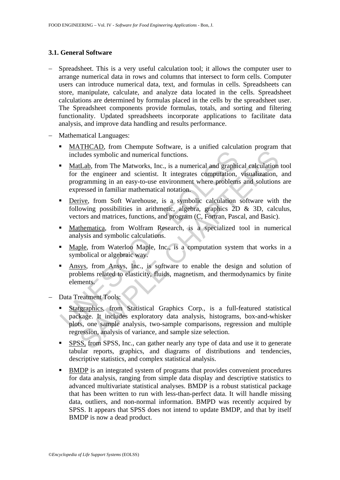## **3.1. General Software**

- Spreadsheet. This is a very useful calculation tool; it allows the computer user to arrange numerical data in rows and columns that intersect to form cells. Computer users can introduce numerical data, text, and formulas in cells. Spreadsheets can store, manipulate, calculate, and analyze data located in the cells. Spreadsheet calculations are determined by formulas placed in the cells by the spreadsheet user. The Spreadsheet components provide formulas, totals, and sorting and filtering functionality. Updated spreadsheets incorporate applications to facilitate data analysis, and improve data handling and results performance.
- − Mathematical Languages:
	- MATHCAD, from Chempute Software, is a unified calculation program that includes symbolic and numerical functions.
	- Includes symbolic and numerical functions.<br> **MatLab**, from The Matworks, Inc., is a numerical and graphic<br>
	for the engineer and scientist. It integrates computation,<br>
	programming in an easy-to-use environment where problem Lab, from The Matworks, Inc., is a numerical and graphical calculation<br>the engineer and scientist. It integrates computation, visualization,<br>the engineer and scientist. It integrates computation, visualization,<br>gramming in MatLab, from The Matworks, Inc., is a numerical and graphical calculation tool for the engineer and scientist. It integrates computation, visualization, and programming in an easy-to-use environment where problems and solutions are expressed in familiar mathematical notation.
	- Derive, from Soft Warehouse, is a symbolic calculation software with the following possibilities in arithmetic, algebra, graphics 2D & 3D, calculus, vectors and matrices, functions, and program (C, Fortran, Pascal, and Basic).
	- Mathematica, from Wolfram Research, is a specialized tool in numerical analysis and symbolic calculations.
	- Maple, from Waterloo Maple, Inc., is a computation system that works in a symbolical or algebraic way.
	- Ansys, from Ansys, Inc., is software to enable the design and solution of problems related to elasticity, fluids, magnetism, and thermodynamics by finite elements.
- Data Treatment Tools:
	- Statgraphics, from Statistical Graphics Corp., is a full-featured statistical package. It includes exploratory data analysis, histograms, box-and-whisker plots, one sample analysis, two-sample comparisons, regression and multiple regression, analysis of variance, and sample size selection.
	- SPSS, from SPSS, Inc., can gather nearly any type of data and use it to generate tabular reports, graphics, and diagrams of distributions and tendencies, descriptive statistics, and complex statistical analysis.
	- BMDP is an integrated system of programs that provides convenient procedures for data analysis, ranging from simple data display and descriptive statistics to advanced multivariate statistical analyses. BMDP is a robust statistical package that has been written to run with less-than-perfect data. It will handle missing data, outliers, and non-normal information. BMPD was recently acquired by SPSS. It appears that SPSS does not intend to update BMDP, and that by itself BMDP is now a dead product.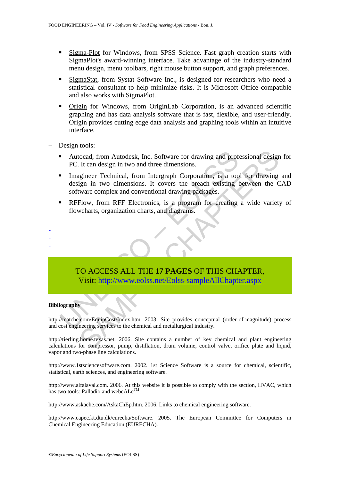- Sigma-Plot for Windows, from SPSS Science. Fast graph creation starts with SigmaPlot's award-winning interface. Take advantage of the industry-standard menu design, menu toolbars, right mouse button support, and graph preferences.
- SigmaStat, from Systat Software Inc., is designed for researchers who need a statistical consultant to help minimize risks. It is Microsoft Office compatible and also works with SigmaPlot.
- Origin for Windows, from OriginLab Corporation, is an advanced scientific graphing and has data analysis software that is fast, flexible, and user-friendly. Origin provides cutting edge data analysis and graphing tools within an intuitive interface.
- Design tools:
	- Autocad, from Autodesk, Inc. Software for drawing and professional design for PC. It can design in two and three dimensions.
	- Autocad, from Autodesk, Inc. Software for drawing and prof<br>
	PC. It can design in two and three dimensions.<br>
	 Imagineer Technical, from Intergraph Corporation, is a too<br>
	design in two dimensions. It covers the breach ex Cocad, from Autodesk, Inc. Software for drawing and professional designt in the and stage in two and three dimensions.<br>
	<u>Igineer Technical</u>, from Intergraph Corporation, is a tool for drawing<br>
	ign in two dimensions. It cov Imagineer Technical, from Intergraph Corporation, is a tool for drawing and design in two dimensions. It covers the breach existing between the CAD software complex and conventional drawing packages.
	- RFFlow, from RFF Electronics, is a program for creating a wide variety of flowcharts, organization charts, and diagrams.



#### **Bibliography**

- - -

http://matche.com/EquipCost/Index.htm. 2003. Site provides conceptual (order-of-magnitude) process and cost engineering services to the chemical and metallurgical industry.

http://tierling.home.texas.net. 2006. Site contains a number of key chemical and plant engineering calculations for compressor, pump, distillation, drum volume, control valve, orifice plate and liquid, vapor and two-phase line calculations.

http://www.1stsciencesoftware.com. 2002. 1st Science Software is a source for chemical, scientific, statistical, earth sciences, and engineering software.

http://www.alfalaval.com. 2006. At this website it is possible to comply with the section, HVAC, which has two tools: Palladio and webc $ALc^{TM}$ .

http://www.askache.com/AskaChEp.htm. 2006. Links to chemical engineering software.

http://www.capec.kt.dtu.dk/eurecha/Software. 2005. The European Committee for Computers in Chemical Engineering Education (EURECHA).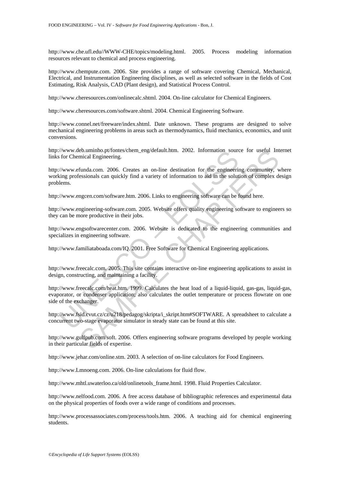http://www.che.ufl.edu//WWW-CHE/topics/modeling.html. 2005. Process modeling information resources relevant to chemical and process engineering.

http://www.chempute.com. 2006. Site provides a range of software covering Chemical, Mechanical, Electrical, and Instrumentation Engineering disciplines, as well as selected software in the fields of Cost Estimating, Risk Analysis, CAD (Plant design), and Statistical Process Control.

http://www.cheresources.com/onlinecalc.shtml. 2004. On-line calculator for Chemical Engineers.

http://www.cheresources.com/software.shtml. 2004. Chemical Engineering Software.

http://www.connel.net/freeware/index.shtml. Date unknown. These programs are designed to solve mechanical engineering problems in areas such as thermodynamics, fluid mechanics, economics, and unit conversions.

http://www.deb.uminho.pt/fontes/chem\_eng/default.htm. 2002. Information source for useful Internet links for Chemical Engineering.

http://www.efunda.com. 2006. Creates an on-line destination for the engineering community, where working professionals can quickly find a variety of information to aid in the solution of complex design problems.

http://www.engcen.com/software.htm. 2006. Links to engineering software can be found here.

http://www.engineering-software.com. 2005. Website offers quality engineering software to engineers so they can be more productive in their jobs.

http://www.engsoftwarecenter.com. 2006. Website is dedicated to the engineering communities and specializes in engineering software.

http://www.familiataboada.com/IQ. 2001. Free Software for Chemical Engineering applications.

http://www.freecalc.com. 2005. This site contains interactive on-line engineering applications to assist in design, constructing, and maintaining a facility.

Www.ede.ummo.ptrontescom\_eng.aeraut.ntm. 2002. Information sources for Chemical Engineering.<br>
for Chemical Engineering.<br>
"Www.efunda.com. 2006. Creates an on-line destination for the engineering<br>
impgrofessionals can quick Eb.mumho.pt/onteschem\_eng/detault.htm. 2002. Information source for useful Int<br>finda.com. 2006. Creates an on-line destination for the engineering community, v<br>finda.com. 2006. Creates an on-line destination for the engine http://www.freecalc.com/heat.htm. 1999. Calculates the heat load of a liquid-liquid, gas-gas, liquid-gas, evaporator, or condenser application; also calculates the outlet temperature or process flowrate on one side of the exchanger.

http://www.fsid.cvut.cz/cz/u218/pedagog/skripta/i\_skript.htm#SOFTWARE. A spreadsheet to calculate a concurrent two-stage evaporator simulator in steady state can be found at this site.

http://www.gulfpub.com/soft. 2006. Offers engineering software programs developed by people working in their particular fields of expertise.

http://www.jehar.com/online.stm. 2003. A selection of on-line calculators for Food Engineers.

http://www.Lmnoeng.com. 2006. On-line calculations for fluid flow.

http://www.mhtl.uwaterloo.ca/old/onlinetools\_frame.html. 1998. Fluid Properties Calculator.

http://www.nelfood.com. 2006. A free access database of bibliographic references and experimental data on the physical properties of foods over a wide range of conditions and processes.

http://www.processassociates.com/process/tools.htm. 2006. A teaching aid for chemical engineering students.